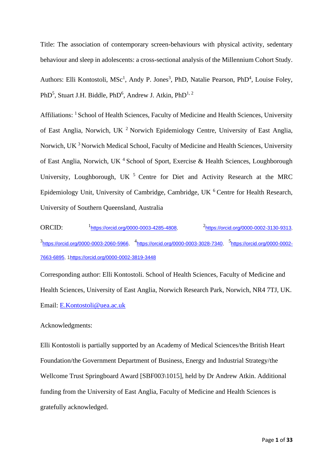Title: The association of contemporary screen-behaviours with physical activity, sedentary behaviour and sleep in adolescents: a cross-sectional analysis of the Millennium Cohort Study. Authors: Elli Kontostoli, MSc<sup>1</sup>, Andy P. Jones<sup>3</sup>, PhD, Natalie Pearson, PhD<sup>4</sup>, Louise Foley, PhD<sup>5</sup>, Stuart J.H. Biddle, PhD<sup>6</sup>, Andrew J. Atkin, PhD<sup>1, 2</sup>

Affiliations: <sup>1</sup> School of Health Sciences, Faculty of Medicine and Health Sciences, University of East Anglia, Norwich, UK <sup>2</sup> Norwich Epidemiology Centre, University of East Anglia, Norwich, UK <sup>3</sup> Norwich Medical School, Faculty of Medicine and Health Sciences, University of East Anglia, Norwich, UK<sup>4</sup> School of Sport, Exercise & Health Sciences, Loughborough University, Loughborough, UK  $<sup>5</sup>$  Centre for Diet and Activity Research at the MRC</sup> Epidemiology Unit, University of Cambridge, Cambridge, UK <sup>6</sup> Centre for Health Research, University of Southern Queensland, Australia

ORCID: <sup>1</sup> [https://orcid.org/0000-0003-4285-4808,](https://orcid.org/0000-0003-4285-4808) <sup>2</sup>[https://orcid.org/0000-0002-3130-9313,](https://orcid.org/0000-0002-3130-9313) 3<br>[https://orcid.org/0000-0003-2060-5966,](https://orcid.org/0000-0003-2060-5966) <sup>4</sup>[https://orcid.org/0000-0003-3028-7340,](https://orcid.org/0000-0003-3028-7340) <sup>5</sup>[https://orcid.org/0000-0002-](https://orcid.org/0000-0002-7663-6895) [7663-6895,](https://orcid.org/0000-0002-7663-6895) [1https://orcid.org/0000-0002-3819-3448](https://orcid.org/0000-0002-3819-3448)

Corresponding author: Elli Kontostoli. School of Health Sciences, Faculty of Medicine and Health Sciences, University of East Anglia, Norwich Research Park, Norwich, NR4 7TJ, UK. Email: [E.Kontostoli@uea.ac.uk](mailto:E.Kontostoli@uea.ac.uk)

# Acknowledgments:

Elli Kontostoli is partially supported by an Academy of Medical Sciences/the British Heart Foundation/the Government Department of Business, Energy and Industrial Strategy/the Wellcome Trust Springboard Award [SBF003\1015], held by Dr Andrew Atkin. Additional funding from the University of East Anglia, Faculty of Medicine and Health Sciences is gratefully acknowledged.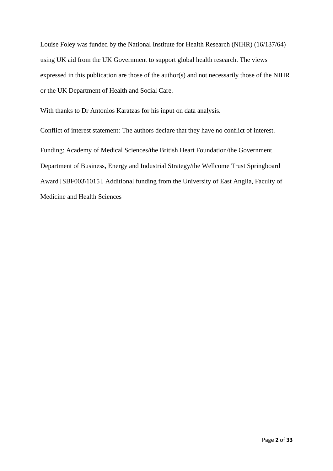Louise Foley was funded by the National Institute for Health Research (NIHR) (16/137/64) using UK aid from the UK Government to support global health research. The views expressed in this publication are those of the author(s) and not necessarily those of the NIHR or the UK Department of Health and Social Care.

With thanks to Dr Antonios Karatzas for his input on data analysis.

Conflict of interest statement: The authors declare that they have no conflict of interest.

Funding: Academy of Medical Sciences/the British Heart Foundation/the Government Department of Business, Energy and Industrial Strategy/the Wellcome Trust Springboard Award [SBF003\1015]. Additional funding from the University of East Anglia, Faculty of Medicine and Health Sciences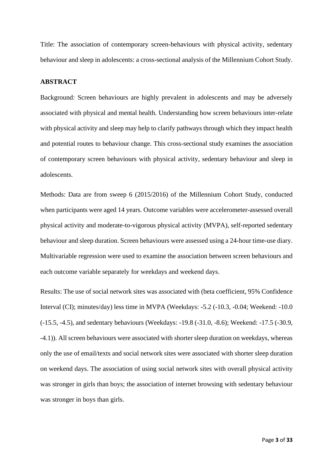Title: The association of contemporary screen-behaviours with physical activity, sedentary behaviour and sleep in adolescents: a cross-sectional analysis of the Millennium Cohort Study.

## **ABSTRACT**

Background: Screen behaviours are highly prevalent in adolescents and may be adversely associated with physical and mental health. Understanding how screen behaviours inter-relate with physical activity and sleep may help to clarify pathways through which they impact health and potential routes to behaviour change. This cross-sectional study examines the association of contemporary screen behaviours with physical activity, sedentary behaviour and sleep in adolescents.

Methods: Data are from sweep 6 (2015/2016) of the Millennium Cohort Study, conducted when participants were aged 14 years. Outcome variables were accelerometer-assessed overall physical activity and moderate-to-vigorous physical activity (MVPA), self-reported sedentary behaviour and sleep duration. Screen behaviours were assessed using a 24-hour time-use diary. Multivariable regression were used to examine the association between screen behaviours and each outcome variable separately for weekdays and weekend days.

Results: The use of social network sites was associated with (beta coefficient, 95% Confidence Interval (CI); minutes/day) less time in MVPA (Weekdays: -5.2 (-10.3, -0.04; Weekend: -10.0 (-15.5, -4.5), and sedentary behaviours (Weekdays: -19.8 (-31.0, -8.6); Weekend: -17.5 (-30.9, -4.1)). All screen behaviours were associated with shorter sleep duration on weekdays, whereas only the use of email/texts and social network sites were associated with shorter sleep duration on weekend days. The association of using social network sites with overall physical activity was stronger in girls than boys; the association of internet browsing with sedentary behaviour was stronger in boys than girls.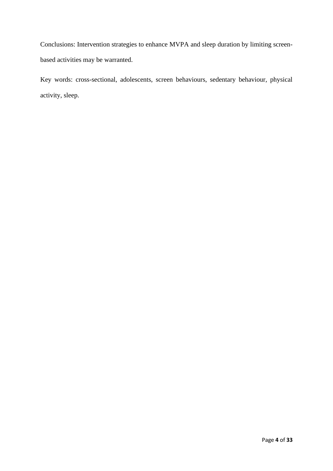Conclusions: Intervention strategies to enhance MVPA and sleep duration by limiting screenbased activities may be warranted.

Key words: cross-sectional, adolescents, screen behaviours, sedentary behaviour, physical activity, sleep.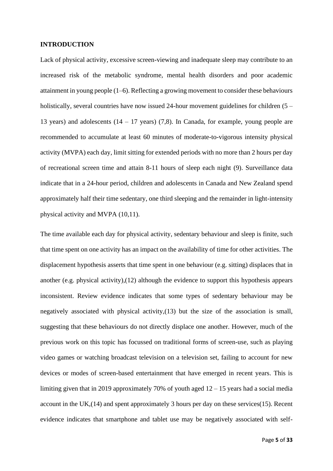#### **INTRODUCTION**

Lack of physical activity, excessive screen-viewing and inadequate sleep may contribute to an increased risk of the metabolic syndrome, mental health disorders and poor academic attainment in young people (1–6). Reflecting a growing movement to consider these behaviours holistically, several countries have now issued 24-hour movement guidelines for children (5 – 13 years) and adolescents (14 – 17 years) (7,8). In Canada, for example, young people are recommended to accumulate at least 60 minutes of moderate-to-vigorous intensity physical activity (MVPA) each day, limit sitting for extended periods with no more than 2 hours per day of recreational screen time and attain 8-11 hours of sleep each night (9). Surveillance data indicate that in a 24-hour period, children and adolescents in Canada and New Zealand spend approximately half their time sedentary, one third sleeping and the remainder in light-intensity physical activity and MVPA (10,11).

The time available each day for physical activity, sedentary behaviour and sleep is finite, such that time spent on one activity has an impact on the availability of time for other activities. The displacement hypothesis asserts that time spent in one behaviour (e.g. sitting) displaces that in another (e.g. physical activity),(12) although the evidence to support this hypothesis appears inconsistent. Review evidence indicates that some types of sedentary behaviour may be negatively associated with physical activity,(13) but the size of the association is small, suggesting that these behaviours do not directly displace one another. However, much of the previous work on this topic has focussed on traditional forms of screen-use, such as playing video games or watching broadcast television on a television set, failing to account for new devices or modes of screen-based entertainment that have emerged in recent years. This is limiting given that in 2019 approximately 70% of youth aged  $12 - 15$  years had a social media account in the UK,(14) and spent approximately 3 hours per day on these services(15). Recent evidence indicates that smartphone and tablet use may be negatively associated with self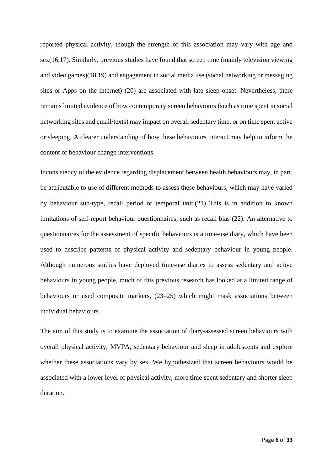reported physical activity, though the strength of this association may vary with age and sex(16,17). Similarly, previous studies have found that screen time (mainly television viewing and video games)(18,19) and engagement in social media use (social networking or messaging sites or Apps on the internet) (20) are associated with late sleep onset. Nevertheless, there remains limited evidence of how contemporary screen behaviours (such as time spent in social networking sites and email/texts) may impact on overall sedentary time, or on time spent active or sleeping. A clearer understanding of how these behaviours interact may help to inform the content of behaviour change interventions.

Inconsistency of the evidence regarding displacement between health behaviours may, in part, be attributable to use of different methods to assess these behaviours, which may have varied by behaviour sub-type, recall period or temporal unit.(21) This is in addition to known limitations of self-report behaviour questionnaires, such as recall bias (22). An alternative to questionnaires for the assessment of specific behaviours is a time-use diary, which have been used to describe patterns of physical activity and sedentary behaviour in young people. Although numerous studies have deployed time-use diaries to assess sedentary and active behaviours in young people, much of this previous research has looked at a limited range of behaviours or used composite markers, (23–25) which might mask associations between individual behaviours.

The aim of this study is to examine the association of diary-assessed screen behaviours with overall physical activity, MVPA, sedentary behaviour and sleep in adolescents and explore whether these associations vary by sex. We hypothesized that screen behaviours would be associated with a lower level of physical activity, more time spent sedentary and shorter sleep duration.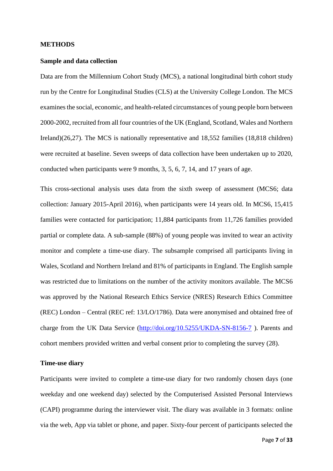#### **METHODS**

#### **Sample and data collection**

Data are from the Millennium Cohort Study (MCS), a national longitudinal birth cohort study run by the Centre for Longitudinal Studies (CLS) at the University College London. The MCS examines the social, economic, and health-related circumstances of young people born between 2000-2002, recruited from all four countries of the UK (England, Scotland, Wales and Northern Ireland)(26,27). The MCS is nationally representative and 18,552 families (18,818 children) were recruited at baseline. Seven sweeps of data collection have been undertaken up to 2020, conducted when participants were 9 months, 3, 5, 6, 7, 14, and 17 years of age.

This cross-sectional analysis uses data from the sixth sweep of assessment (MCS6; data collection: January 2015-April 2016), when participants were 14 years old. In MCS6, 15,415 families were contacted for participation; 11,884 participants from 11,726 families provided partial or complete data. A sub-sample (88%) of young people was invited to wear an activity monitor and complete a time-use diary. The subsample comprised all participants living in Wales, Scotland and Northern Ireland and 81% of participants in England. The English sample was restricted due to limitations on the number of the activity monitors available. The MCS6 was approved by the National Research Ethics Service (NRES) Research Ethics Committee (REC) London – Central (REC ref: 13/LO/1786). Data were anonymised and obtained free of charge from the UK Data Service [\(http://doi.org/10.5255/UKDA-SN-8156-7](http://doi.org/10.5255/UKDA-SN-8156-7) ). Parents and cohort members provided written and verbal consent prior to completing the survey (28).

#### **Time-use diary**

Participants were invited to complete a time-use diary for two randomly chosen days (one weekday and one weekend day) selected by the Computerised Assisted Personal Interviews (CAPI) programme during the interviewer visit. The diary was available in 3 formats: online via the web, App via tablet or phone, and paper. Sixty-four percent of participants selected the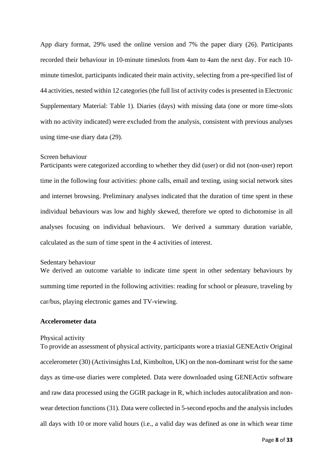App diary format, 29% used the online version and 7% the paper diary (26). Participants recorded their behaviour in 10-minute timeslots from 4am to 4am the next day. For each 10 minute timeslot, participants indicated their main activity, selecting from a pre-specified list of 44 activities, nested within 12 categories (the full list of activity codes is presented in Electronic Supplementary Material: Table 1). Diaries (days) with missing data (one or more time-slots with no activity indicated) were excluded from the analysis, consistent with previous analyses using time-use diary data (29).

# Screen behaviour

Participants were categorized according to whether they did (user) or did not (non-user) report time in the following four activities: phone calls, email and texting, using social network sites and internet browsing. Preliminary analyses indicated that the duration of time spent in these individual behaviours was low and highly skewed, therefore we opted to dichotomise in all analyses focusing on individual behaviours. We derived a summary duration variable, calculated as the sum of time spent in the 4 activities of interest.

#### Sedentary behaviour

We derived an outcome variable to indicate time spent in other sedentary behaviours by summing time reported in the following activities: reading for school or pleasure, traveling by car/bus, playing electronic games and TV-viewing.

# **Accelerometer data**

# Physical activity

To provide an assessment of physical activity, participants wore a triaxial GENEActiv Original accelerometer (30) (Activinsights Ltd, Kimbolton, UK) on the non-dominant wrist for the same days as time-use diaries were completed. Data were downloaded using GENEActiv software and raw data processed using the GGIR package in R, which includes autocalibration and nonwear detection functions (31). Data were collected in 5-second epochs and the analysis includes all days with 10 or more valid hours (i.e., a valid day was defined as one in which wear time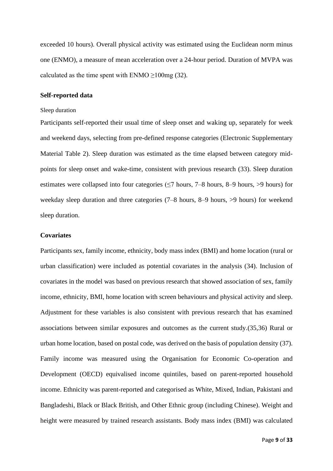exceeded 10 hours). Overall physical activity was estimated using the Euclidean norm minus one (ENMO), a measure of mean acceleration over a 24-hour period. Duration of MVPA was calculated as the time spent with ENMO  $\geq$ 100mg (32).

# **Self-reported data**

#### Sleep duration

Participants self-reported their usual time of sleep onset and waking up, separately for week and weekend days, selecting from pre-defined response categories (Electronic Supplementary Material Table 2). Sleep duration was estimated as the time elapsed between category midpoints for sleep onset and wake-time, consistent with previous research (33). Sleep duration estimates were collapsed into four categories ( $\leq$ 7 hours, 7–8 hours, 8–9 hours, >9 hours) for weekday sleep duration and three categories (7–8 hours, 8–9 hours, >9 hours) for weekend sleep duration.

#### **Covariates**

Participants sex, family income, ethnicity, body mass index (BMI) and home location (rural or urban classification) were included as potential covariates in the analysis (34). Inclusion of covariates in the model was based on previous research that showed association of sex, family income, ethnicity, BMI, home location with screen behaviours and physical activity and sleep. Adjustment for these variables is also consistent with previous research that has examined associations between similar exposures and outcomes as the current study.(35,36) Rural or urban home location, based on postal code, was derived on the basis of population density (37). Family income was measured using the Organisation for Economic Co-operation and Development (OECD) equivalised income quintiles, based on parent-reported household income. Ethnicity was parent-reported and categorised as White, Mixed, Indian, Pakistani and Bangladeshi, Black or Black British, and Other Ethnic group (including Chinese). Weight and height were measured by trained research assistants. Body mass index (BMI) was calculated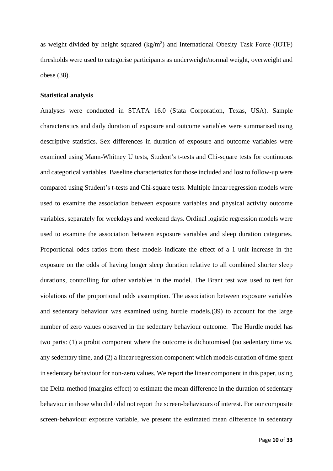as weight divided by height squared  $(kg/m<sup>2</sup>)$  and International Obesity Task Force (IOTF) thresholds were used to categorise participants as underweight/normal weight, overweight and obese (38).

#### **Statistical analysis**

Analyses were conducted in STATA 16.0 (Stata Corporation, Texas, USA). Sample characteristics and daily duration of exposure and outcome variables were summarised using descriptive statistics. Sex differences in duration of exposure and outcome variables were examined using Mann-Whitney U tests, Student's t-tests and Chi-square tests for continuous and categorical variables. Baseline characteristics for those included and lost to follow-up were compared using Student's t-tests and Chi-square tests. Multiple linear regression models were used to examine the association between exposure variables and physical activity outcome variables, separately for weekdays and weekend days. Ordinal logistic regression models were used to examine the association between exposure variables and sleep duration categories. Proportional odds ratios from these models indicate the effect of a 1 unit increase in the exposure on the odds of having longer sleep duration relative to all combined shorter sleep durations, controlling for other variables in the model. The Brant test was used to test for violations of the proportional odds assumption. The association between exposure variables and sedentary behaviour was examined using hurdle models,(39) to account for the large number of zero values observed in the sedentary behaviour outcome. The Hurdle model has two parts: (1) a probit component where the outcome is dichotomised (no sedentary time vs. any sedentary time, and (2) a linear regression component which models duration of time spent in sedentary behaviour for non-zero values. We report the linear component in this paper, using the Delta-method (margins effect) to estimate the mean difference in the duration of sedentary behaviour in those who did / did not report the screen-behaviours of interest. For our composite screen-behaviour exposure variable, we present the estimated mean difference in sedentary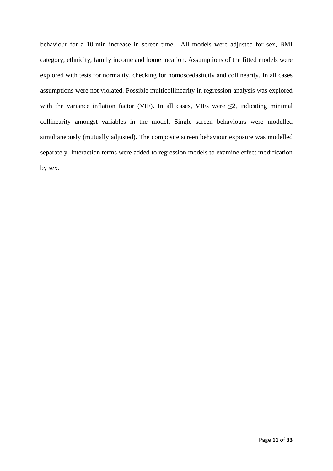behaviour for a 10-min increase in screen-time. All models were adjusted for sex, BMI category, ethnicity, family income and home location. Assumptions of the fitted models were explored with tests for normality, checking for homoscedasticity and collinearity. In all cases assumptions were not violated. Possible multicollinearity in regression analysis was explored with the variance inflation factor (VIF). In all cases, VIFs were  $\leq$ 2, indicating minimal collinearity amongst variables in the model. Single screen behaviours were modelled simultaneously (mutually adjusted). The composite screen behaviour exposure was modelled separately. Interaction terms were added to regression models to examine effect modification by sex.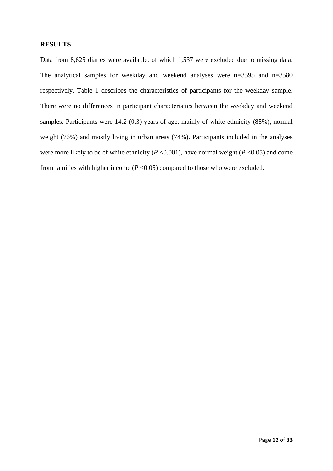# **RESULTS**

Data from 8,625 diaries were available, of which 1,537 were excluded due to missing data. The analytical samples for weekday and weekend analyses were n=3595 and n=3580 respectively. Table 1 describes the characteristics of participants for the weekday sample. There were no differences in participant characteristics between the weekday and weekend samples. Participants were 14.2 (0.3) years of age, mainly of white ethnicity (85%), normal weight (76%) and mostly living in urban areas (74%). Participants included in the analyses were more likely to be of white ethnicity ( $P < 0.001$ ), have normal weight ( $P < 0.05$ ) and come from families with higher income  $(P \le 0.05)$  compared to those who were excluded.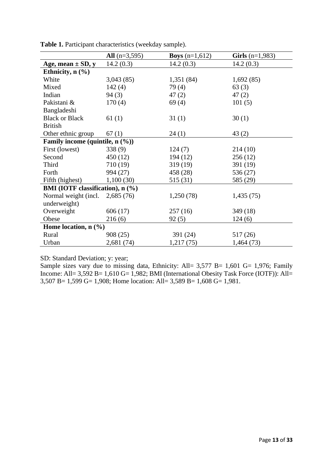|                                  | All $(n=3,595)$ | <b>Boys</b> $(n=1,612)$ | <b>Girls</b> $(n=1,983)$ |
|----------------------------------|-----------------|-------------------------|--------------------------|
| Age, mean $\pm$ SD, y            | 14.2(0.3)       | 14.2(0.3)               | 14.2(0.3)                |
| Ethnicity, $n$ $(\frac{9}{6})$   |                 |                         |                          |
| White                            | 3,043(85)       | 1,351(84)               | 1,692(85)                |
| Mixed                            | 142(4)          | 79(4)                   | 63(3)                    |
| Indian                           | 94(3)           | 47(2)                   | 47(2)                    |
| Pakistani &                      | 170(4)          | 69(4)                   | 101(5)                   |
| Bangladeshi                      |                 |                         |                          |
| <b>Black or Black</b>            | 61(1)           | 31(1)                   | 30(1)                    |
| <b>British</b>                   |                 |                         |                          |
| Other ethnic group               | 67(1)           | 24(1)                   | 43(2)                    |
| Family income (quintile, n (%))  |                 |                         |                          |
| First (lowest)                   | 338(9)          | 124(7)                  | 214(10)                  |
| Second                           | 450 (12)        | 194(12)                 | 256(12)                  |
| Third                            | 710 (19)        | 319(19)                 | 391 (19)                 |
| Forth                            | 994 (27)        | 458 (28)                | 536 (27)                 |
| Fifth (highest)                  | 1,100(30)       | 515 (31)                | 585 (29)                 |
| BMI (IOTF classification), n (%) |                 |                         |                          |
| Normal weight (incl.             | 2,685(76)       | 1,250(78)               | 1,435(75)                |
| underweight)                     |                 |                         |                          |
| Overweight                       | 606 (17)        | 257(16)                 | 349(18)                  |
| Obese                            | 216(6)          | 92(5)                   | 124(6)                   |
| Home location, $n$ (%)           |                 |                         |                          |
| Rural                            | 908 (25)        | 391 (24)                | 517 (26)                 |
| Urban                            | 2,681 (74)      | 1,217(75)               | 1,464(73)                |

**Table 1.** Participant characteristics (weekday sample).

SD: Standard Deviation; y: year;

Sample sizes vary due to missing data, Ethnicity: All= 3,577 B= 1,601 G= 1,976; Family Income: All=  $3,592$  B=  $1,610$  G=  $1,982$ ; BMI (International Obesity Task Force (IOTF)): All= 3,507 B= 1,599 G= 1,908; Home location: All= 3,589 B= 1,608 G= 1,981.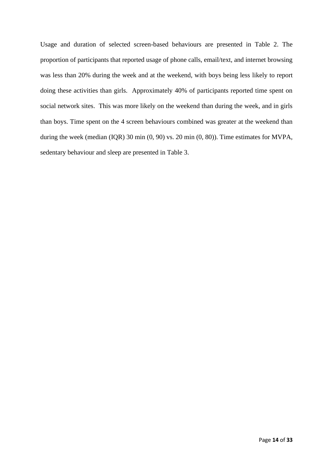Usage and duration of selected screen-based behaviours are presented in Table 2. The proportion of participants that reported usage of phone calls, email/text, and internet browsing was less than 20% during the week and at the weekend, with boys being less likely to report doing these activities than girls. Approximately 40% of participants reported time spent on social network sites. This was more likely on the weekend than during the week, and in girls than boys. Time spent on the 4 screen behaviours combined was greater at the weekend than during the week (median (IQR) 30 min (0, 90) vs. 20 min (0, 80)). Time estimates for MVPA, sedentary behaviour and sleep are presented in Table 3.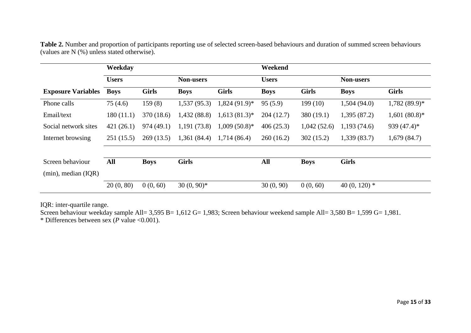|                           | Weekday      |              |                  |                 | Weekend      |              |                  |                 |
|---------------------------|--------------|--------------|------------------|-----------------|--------------|--------------|------------------|-----------------|
|                           | <b>Users</b> |              | <b>Non-users</b> |                 | <b>Users</b> |              | <b>Non-users</b> |                 |
| <b>Exposure Variables</b> | <b>Boys</b>  | <b>Girls</b> | <b>Boys</b>      | <b>Girls</b>    | <b>Boys</b>  | <b>Girls</b> | <b>Boys</b>      | <b>Girls</b>    |
| Phone calls               | 75(4.6)      | 159(8)       | 1,537(95.3)      | $1,824$ (91.9)* | 95(5.9)      | 199 (10)     | 1,504(94.0)      | $1,782(89.9)*$  |
| Email/text                | 180(11.1)    | 370 (18.6)   | 1,432(88.8)      | $1,613(81.3)$ * | 204(12.7)    | 380(19.1)    | 1,395 (87.2)     | $1,601(80.8)$ * |
| Social network sites      | 421(26.1)    | 974 (49.1)   | 1,191(73.8)      | $1,009(50.8)$ * | 406(25.3)    | 1,042(52.6)  | 1,193(74.6)      | 939 $(47.4)$ *  |
| Internet browsing         | 251(15.5)    | 269(13.5)    | 1,361(84.4)      | 1,714 (86.4)    | 260(16.2)    | 302(15.2)    | 1,339(83.7)      | 1,679(84.7)     |
|                           |              |              |                  |                 |              |              |                  |                 |
| Screen behaviour          | All          | <b>Boys</b>  | <b>Girls</b>     |                 | All          | <b>Boys</b>  | <b>Girls</b>     |                 |
| $(min)$ , median $(IQR)$  |              |              |                  |                 |              |              |                  |                 |
|                           | 20(0, 80)    | 0(0, 60)     | $30(0, 90)*$     |                 | 30(0, 90)    | 0(0, 60)     | 40 (0, 120) $*$  |                 |

**Table 2.** Number and proportion of participants reporting use of selected screen-based behaviours and duration of summed screen behaviours (values are N (%) unless stated otherwise).

IQR: inter-quartile range.

Screen behaviour weekday sample All= 3,595 B= 1,612 G= 1,983; Screen behaviour weekend sample All= 3,580 B= 1,599 G= 1,981.

\* Differences between sex (*P* value <0.001).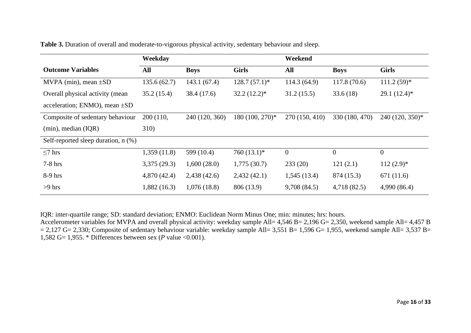|                                          | Weekday      |                |                 | Weekend        |                |                 |
|------------------------------------------|--------------|----------------|-----------------|----------------|----------------|-----------------|
| <b>Outcome Variables</b>                 | <b>All</b>   | <b>Boys</b>    | <b>Girls</b>    | All            | <b>Boys</b>    | <b>Girls</b>    |
| MVPA (min), mean $\pm SD$                | 135.6(62.7)  | 143.1(67.4)    | $128.7(57.1)*$  | 114.3(64.9)    | 117.8(70.6)    | $111.2(59)*$    |
| Overall physical activity (mean          | 35.2(15.4)   | 38.4(17.6)     | $32.2(12.2)^*$  | 31.2(15.5)     | 33.6(18)       | $29.1(12.4)^*$  |
| acceleration; ENMO), mean $\pm SD$       |              |                |                 |                |                |                 |
| Composite of sedentary behaviour         | 200 (110,    | 240 (120, 360) | 180 (100, 270)* | 270 (150, 410) | 330 (180, 470) | 240 (120, 350)* |
| $(min)$ , median $(IQR)$                 | <b>310</b> ) |                |                 |                |                |                 |
| Self-reported sleep duration, $n$ $(\%)$ |              |                |                 |                |                |                 |
| $\leq$ 7 hrs                             | 1,359(11.8)  | 599 (10.4)     | $760(13.1)*$    | $\overline{0}$ | $\theta$       | $\overline{0}$  |
| $7-8$ hrs                                | 3,375(29.3)  | 1,600(28.0)    | 1,775(30.7)     | 233(20)        | 121(2.1)       | $112(2.9)^*$    |
| 8-9 hrs                                  | 4,870 (42.4) | 2,438(42.6)    | 2,432(42.1)     | 1,545(13.4)    | 874 (15.3)     | 671 (11.6)      |
| $>9$ hrs                                 | 1,882(16.3)  | 1,076(18.8)    | 806 (13.9)      | 9,708(84.5)    | 4,718 (82.5)   | 4,990 (86.4)    |

**Table 3.** Duration of overall and moderate-to-vigorous physical activity, sedentary behaviour and sleep.

IQR: inter-quartile range; SD: standard deviation; ENMO: Euclidean Norm Minus One; min: minutes; hrs: hours.

Accelerometer variables for MVPA and overall physical activity: weekday sample All= 4,546 B= 2,196 G= 2,350, weekend sample All= 4,457 B  $= 2,127$  G= 2,330; Composite of sedentary behaviour variable: weekday sample All= 3,551 B= 1,596 G= 1,955, weekend sample All= 3,537 B= 1,582 G= 1,955. \* Differences between sex (*P* value <0.001).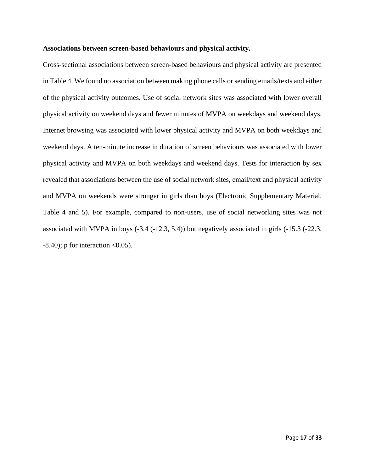#### **Associations between screen-based behaviours and physical activity.**

Cross-sectional associations between screen-based behaviours and physical activity are presented in Table 4. We found no association between making phone calls or sending emails/texts and either of the physical activity outcomes. Use of social network sites was associated with lower overall physical activity on weekend days and fewer minutes of MVPA on weekdays and weekend days. Internet browsing was associated with lower physical activity and MVPA on both weekdays and weekend days. A ten-minute increase in duration of screen behaviours was associated with lower physical activity and MVPA on both weekdays and weekend days. Tests for interaction by sex revealed that associations between the use of social network sites, email/text and physical activity and MVPA on weekends were stronger in girls than boys (Electronic Supplementary Material, Table 4 and 5). For example, compared to non-users, use of social networking sites was not associated with MVPA in boys (-3.4 (-12.3, 5.4)) but negatively associated in girls (-15.3 (-22.3,  $-8.40$ ; p for interaction  $< 0.05$ ).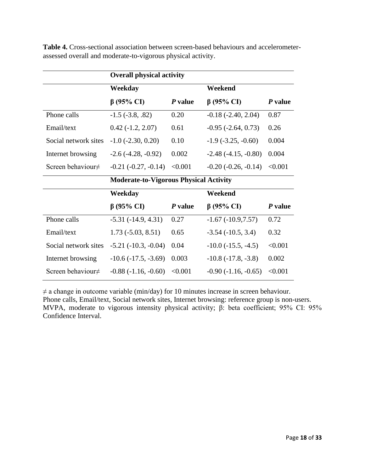|                         | <b>Overall physical activity</b>              |         |                              |         |
|-------------------------|-----------------------------------------------|---------|------------------------------|---------|
|                         | Weekday                                       |         | Weekend                      |         |
|                         | $\beta$ (95% CI)                              | P value | $\beta$ (95% CI)             | P value |
| Phone calls             | $-1.5$ $(-3.8, .82)$                          | 0.20    | $-0.18$ $(-2.40, 2.04)$      | 0.87    |
| Email/text              | $0.42(-1.2, 2.07)$                            | 0.61    | $-0.95$ $(-2.64, 0.73)$      | 0.26    |
| Social network sites    | $-1.0$ $(-2.30, 0.20)$                        | 0.10    | $-1.9$ $(-3.25, -0.60)$      | 0.004   |
| Internet browsing       | $-2.6(-4.28, -0.92)$                          | 0.002   | $-2.48(-4.15, -0.80)$        | 0.004   |
| Screen behaviour $\neq$ | $-0.21$ $(-0.27, -0.14)$                      | < 0.001 | $-0.20$ $(-0.26, -0.14)$     | < 0.001 |
|                         |                                               |         |                              |         |
|                         | <b>Moderate-to-Vigorous Physical Activity</b> |         |                              |         |
|                         | Weekday                                       |         | Weekend                      |         |
|                         | $\beta$ (95% CI)                              | P value | $\beta$ (95% CI)             | P value |
| Phone calls             | $-5.31(-14.9, 4.31)$                          | 0.27    | $-1.67(-10.9,7.57)$          | 0.72    |
| Email/text              | $1.73(-5.03, 8.51)$                           | 0.65    | $-3.54(-10.5, 3.4)$          | 0.32    |
| Social network sites    | $-5.21(-10.3, -0.04)$                         | 0.04    | $-10.0$ ( $-15.5$ , $-4.5$ ) | < 0.001 |
| Internet browsing       | $-10.6(-17.5, -3.69)$                         | 0.003   | $-10.8(-17.8, -3.8)$         | 0.002   |

**Table 4.** Cross-sectional association between screen-based behaviours and accelerometerassessed overall and moderate-to-vigorous physical activity.

 $\neq$  a change in outcome variable (min/day) for 10 minutes increase in screen behaviour. Phone calls, Email/text, Social network sites, Internet browsing: reference group is non-users. MVPA, moderate to vigorous intensity physical activity; β: beta coefficient; 95% CI: 95% Confidence Interval.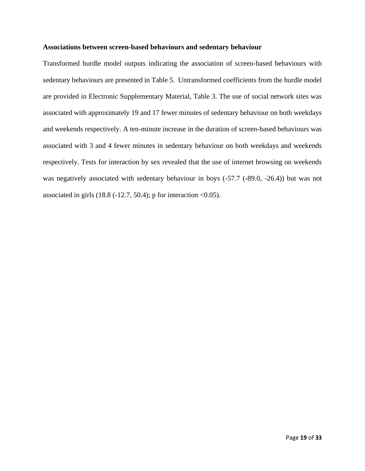#### **Associations between screen-based behaviours and sedentary behaviour**

Transformed hurdle model outputs indicating the association of screen-based behaviours with sedentary behaviours are presented in Table 5. Untransformed coefficients from the hurdle model are provided in Electronic Supplementary Material, Table 3. The use of social network sites was associated with approximately 19 and 17 fewer minutes of sedentary behaviour on both weekdays and weekends respectively. A ten-minute increase in the duration of screen-based behaviours was associated with 3 and 4 fewer minutes in sedentary behaviour on both weekdays and weekends respectively. Tests for interaction by sex revealed that the use of internet browsing on weekends was negatively associated with sedentary behaviour in boys (-57.7 (-89.0, -26.4)) but was not associated in girls  $(18.8 (-12.7, 50.4))$ ; p for interaction <0.05).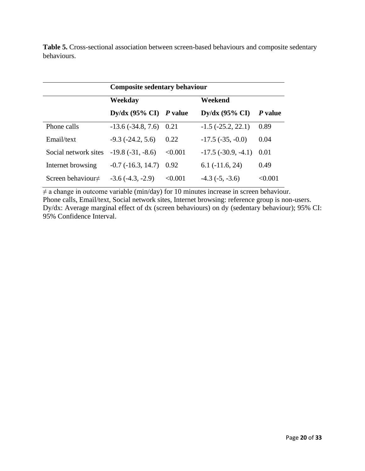|                         | <b>Composite sedentary behaviour</b>   |         |                           |         |  |
|-------------------------|----------------------------------------|---------|---------------------------|---------|--|
|                         | Weekday                                |         | Weekend                   |         |  |
|                         | $\text{Dy}/\text{dx}$ (95% CI) P value |         | Dy/dx $(95\% \text{ CI})$ | P value |  |
| Phone calls             | $-13.6(-34.8, 7.6)$                    | 0.21    | $-1.5$ $(-25.2, 22.1)$    | 0.89    |  |
| Email/text              | $-9.3$ $(-24.2, 5.6)$                  | 0.22    | $-17.5$ ( $-35, -0.0$ )   | 0.04    |  |
| Social network sites    | $-19.8(-31, -8.6)$                     | < 0.001 | $-17.5$ ( $-30.9, -4.1$ ) | 0.01    |  |
| Internet browsing       | $-0.7$ $(-16.3, 14.7)$                 | 0.92    | $6.1$ ( $-11.6$ , 24)     | 0.49    |  |
| Screen behaviour $\neq$ | $-3.6(-4.3, -2.9)$                     | < 0.001 | $-4.3$ $(-5, -3.6)$       | < 0.001 |  |

**Table 5.** Cross-sectional association between screen-based behaviours and composite sedentary behaviours.

 $\neq$  a change in outcome variable (min/day) for 10 minutes increase in screen behaviour. Phone calls, Email/text, Social network sites, Internet browsing: reference group is non-users. Dy/dx: Average marginal effect of dx (screen behaviours) on dy (sedentary behaviour); 95% CI: 95% Confidence Interval.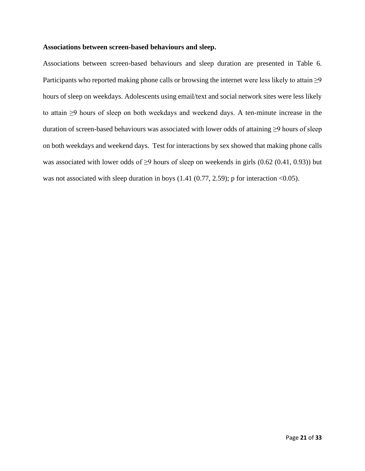#### **Associations between screen-based behaviours and sleep.**

Associations between screen-based behaviours and sleep duration are presented in Table 6. Participants who reported making phone calls or browsing the internet were less likely to attain  $\geq 9$ hours of sleep on weekdays. Adolescents using email/text and social network sites were less likely to attain ≥9 hours of sleep on both weekdays and weekend days. A ten-minute increase in the duration of screen-based behaviours was associated with lower odds of attaining ≥9 hours of sleep on both weekdays and weekend days. Test for interactions by sex showed that making phone calls was associated with lower odds of ≥9 hours of sleep on weekends in girls (0.62 (0.41, 0.93)) but was not associated with sleep duration in boys  $(1.41 (0.77, 2.59)$ ; p for interaction <0.05).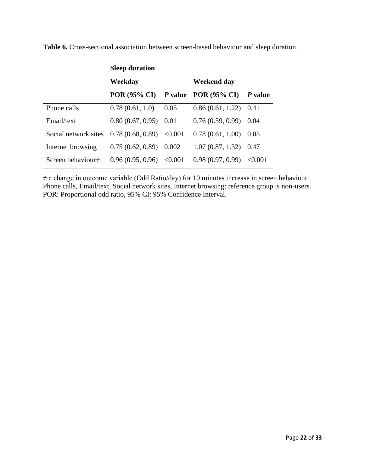|                         | <b>Sleep duration</b>               |         |                         |         |  |
|-------------------------|-------------------------------------|---------|-------------------------|---------|--|
|                         | Weekday                             |         | Weekend day             |         |  |
|                         | POR (95% CI) $P$ value POR (95% CI) |         |                         | P value |  |
| Phone calls             | 0.78(0.61, 1.0)                     | 0.05    | $0.86(0.61, 1.22)$ 0.41 |         |  |
| Email/text              | 0.80(0.67, 0.95)                    | 0.01    | 0.76(0.59, 0.99)        | 0.04    |  |
| Social network sites    | 0.78(0.68, 0.89)                    | < 0.001 | 0.78(0.61, 1.00)        | 0.05    |  |
| Internet browsing       | 0.75(0.62, 0.89)                    | 0.002   | 1.07(0.87, 1.32)        | 0.47    |  |
| Screen behaviour $\neq$ | 0.96(0.95, 0.96)                    | < 0.001 | 0.98(0.97, 0.99)        | < 0.001 |  |

**Table 6.** Cross-sectional association between screen-based behaviour and sleep duration.

 $\neq$  a change in outcome variable (Odd Ratio/day) for 10 minutes increase in screen behaviour. Phone calls, Email/text, Social network sites, Internet browsing: reference group is non-users. POR: Proportional odd ratio, 95% CI: 95% Confidence Interval.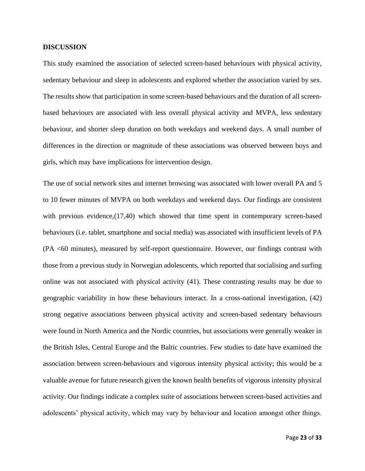# **DISCUSSION**

This study examined the association of selected screen-based behaviours with physical activity, sedentary behaviour and sleep in adolescents and explored whether the association varied by sex. The results show that participation in some screen-based behaviours and the duration of all screenbased behaviours are associated with less overall physical activity and MVPA, less sedentary behaviour, and shorter sleep duration on both weekdays and weekend days. A small number of differences in the direction or magnitude of these associations was observed between boys and girls, which may have implications for intervention design.

The use of social network sites and internet browsing was associated with lower overall PA and 5 to 10 fewer minutes of MVPA on both weekdays and weekend days. Our findings are consistent with previous evidence, (17,40) which showed that time spent in contemporary screen-based behaviours (i.e. tablet, smartphone and social media) was associated with insufficient levels of PA (PA <60 minutes), measured by self-report questionnaire. However, our findings contrast with those from a previous study in Norwegian adolescents, which reported that socialising and surfing online was not associated with physical activity (41). These contrasting results may be due to geographic variability in how these behaviours interact. In a cross-national investigation, (42) strong negative associations between physical activity and screen-based sedentary behaviours were found in North America and the Nordic countries, but associations were generally weaker in the British Isles, Central Europe and the Baltic countries. Few studies to date have examined the association between screen-behaviours and vigorous intensity physical activity; this would be a valuable avenue for future research given the known health benefits of vigorous intensity physical activity. Our findings indicate a complex suite of associations between screen-based activities and adolescents' physical activity, which may vary by behaviour and location amongst other things.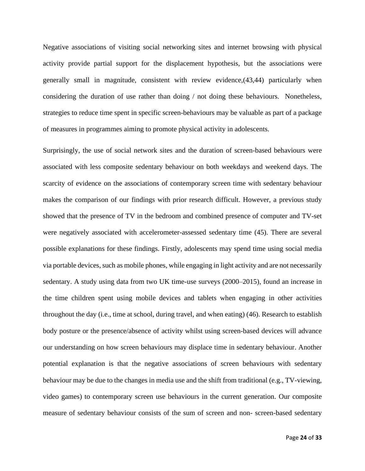Negative associations of visiting social networking sites and internet browsing with physical activity provide partial support for the displacement hypothesis, but the associations were generally small in magnitude, consistent with review evidence,(43,44) particularly when considering the duration of use rather than doing / not doing these behaviours. Nonetheless, strategies to reduce time spent in specific screen-behaviours may be valuable as part of a package of measures in programmes aiming to promote physical activity in adolescents.

Surprisingly, the use of social network sites and the duration of screen-based behaviours were associated with less composite sedentary behaviour on both weekdays and weekend days. The scarcity of evidence on the associations of contemporary screen time with sedentary behaviour makes the comparison of our findings with prior research difficult. However, a previous study showed that the presence of TV in the bedroom and combined presence of computer and TV-set were negatively associated with accelerometer-assessed sedentary time (45). There are several possible explanations for these findings. Firstly, adolescents may spend time using social media via portable devices, such as mobile phones, while engaging in light activity and are not necessarily sedentary. A study using data from two UK time-use surveys (2000–2015), found an increase in the time children spent using mobile devices and tablets when engaging in other activities throughout the day (i.e., time at school, during travel, and when eating) (46). Research to establish body posture or the presence/absence of activity whilst using screen-based devices will advance our understanding on how screen behaviours may displace time in sedentary behaviour. Another potential explanation is that the negative associations of screen behaviours with sedentary behaviour may be due to the changes in media use and the shift from traditional (e.g., TV-viewing, video games) to contemporary screen use behaviours in the current generation. Our composite measure of sedentary behaviour consists of the sum of screen and non- screen-based sedentary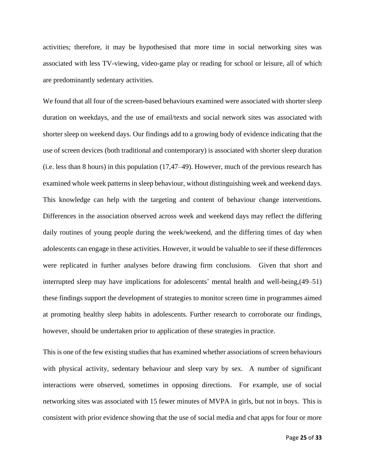activities; therefore, it may be hypothesised that more time in social networking sites was associated with less TV-viewing, video-game play or reading for school or leisure, all of which are predominantly sedentary activities.

We found that all four of the screen-based behaviours examined were associated with shorter sleep duration on weekdays, and the use of email/texts and social network sites was associated with shorter sleep on weekend days. Our findings add to a growing body of evidence indicating that the use of screen devices (both traditional and contemporary) is associated with shorter sleep duration (i.e. less than 8 hours) in this population (17,47–49). However, much of the previous research has examined whole week patterns in sleep behaviour, without distinguishing week and weekend days. This knowledge can help with the targeting and content of behaviour change interventions. Differences in the association observed across week and weekend days may reflect the differing daily routines of young people during the week/weekend, and the differing times of day when adolescents can engage in these activities. However, it would be valuable to see if these differences were replicated in further analyses before drawing firm conclusions. Given that short and interrupted sleep may have implications for adolescents' mental health and well-being,(49–51) these findings support the development of strategies to monitor screen time in programmes aimed at promoting healthy sleep habits in adolescents. Further research to corroborate our findings, however, should be undertaken prior to application of these strategies in practice.

This is one of the few existing studies that has examined whether associations of screen behaviours with physical activity, sedentary behaviour and sleep vary by sex. A number of significant interactions were observed, sometimes in opposing directions. For example, use of social networking sites was associated with 15 fewer minutes of MVPA in girls, but not in boys. This is consistent with prior evidence showing that the use of social media and chat apps for four or more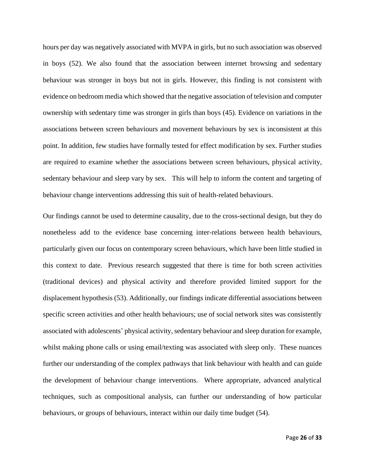hours per day was negatively associated with MVPA in girls, but no such association was observed in boys (52). We also found that the association between internet browsing and sedentary behaviour was stronger in boys but not in girls. However, this finding is not consistent with evidence on bedroom media which showed that the negative association of television and computer ownership with sedentary time was stronger in girls than boys (45). Evidence on variations in the associations between screen behaviours and movement behaviours by sex is inconsistent at this point. In addition, few studies have formally tested for effect modification by sex. Further studies are required to examine whether the associations between screen behaviours, physical activity, sedentary behaviour and sleep vary by sex. This will help to inform the content and targeting of behaviour change interventions addressing this suit of health-related behaviours.

Our findings cannot be used to determine causality, due to the cross-sectional design, but they do nonetheless add to the evidence base concerning inter-relations between health behaviours, particularly given our focus on contemporary screen behaviours, which have been little studied in this context to date. Previous research suggested that there is time for both screen activities (traditional devices) and physical activity and therefore provided limited support for the displacement hypothesis (53). Additionally, our findings indicate differential associations between specific screen activities and other health behaviours; use of social network sites was consistently associated with adolescents' physical activity, sedentary behaviour and sleep duration for example, whilst making phone calls or using email/texting was associated with sleep only. These nuances further our understanding of the complex pathways that link behaviour with health and can guide the development of behaviour change interventions. Where appropriate, advanced analytical techniques, such as compositional analysis, can further our understanding of how particular behaviours, or groups of behaviours, interact within our daily time budget (54).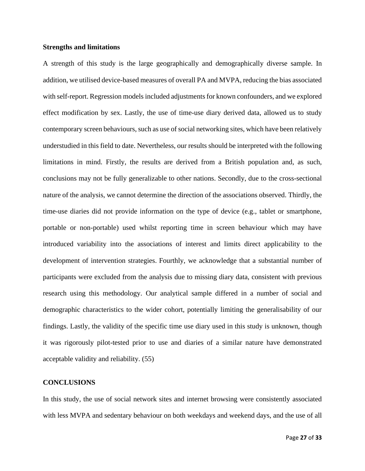# **Strengths and limitations**

A strength of this study is the large geographically and demographically diverse sample. In addition, we utilised device-based measures of overall PA and MVPA, reducing the bias associated with self-report. Regression models included adjustments for known confounders, and we explored effect modification by sex. Lastly, the use of time-use diary derived data, allowed us to study contemporary screen behaviours, such as use of social networking sites, which have been relatively understudied in this field to date. Nevertheless, our results should be interpreted with the following limitations in mind. Firstly, the results are derived from a British population and, as such, conclusions may not be fully generalizable to other nations. Secondly, due to the cross-sectional nature of the analysis, we cannot determine the direction of the associations observed. Thirdly, the time-use diaries did not provide information on the type of device (e.g., tablet or smartphone, portable or non-portable) used whilst reporting time in screen behaviour which may have introduced variability into the associations of interest and limits direct applicability to the development of intervention strategies. Fourthly, we acknowledge that a substantial number of participants were excluded from the analysis due to missing diary data, consistent with previous research using this methodology. Our analytical sample differed in a number of social and demographic characteristics to the wider cohort, potentially limiting the generalisability of our findings. Lastly, the validity of the specific time use diary used in this study is unknown, though it was rigorously pilot-tested prior to use and diaries of a similar nature have demonstrated acceptable validity and reliability. (55)

## **CONCLUSIONS**

In this study, the use of social network sites and internet browsing were consistently associated with less MVPA and sedentary behaviour on both weekdays and weekend days, and the use of all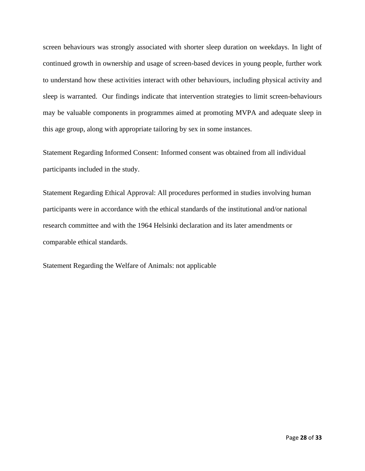screen behaviours was strongly associated with shorter sleep duration on weekdays. In light of continued growth in ownership and usage of screen-based devices in young people, further work to understand how these activities interact with other behaviours, including physical activity and sleep is warranted. Our findings indicate that intervention strategies to limit screen-behaviours may be valuable components in programmes aimed at promoting MVPA and adequate sleep in this age group, along with appropriate tailoring by sex in some instances.

Statement Regarding Informed Consent: Informed consent was obtained from all individual participants included in the study.

Statement Regarding Ethical Approval: All procedures performed in studies involving human participants were in accordance with the ethical standards of the institutional and/or national research committee and with the 1964 Helsinki declaration and its later amendments or comparable ethical standards.

Statement Regarding the Welfare of Animals: not applicable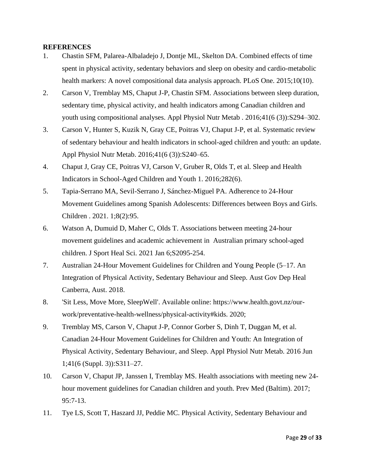# **REFERENCES**

- 1. Chastin SFM, Palarea-Albaladejo J, Dontje ML, Skelton DA. Combined effects of time spent in physical activity, sedentary behaviors and sleep on obesity and cardio-metabolic health markers: A novel compositional data analysis approach. PLoS One. 2015;10(10).
- 2. Carson V, Tremblay MS, Chaput J-P, Chastin SFM. Associations between sleep duration, sedentary time, physical activity, and health indicators among Canadian children and youth using compositional analyses. Appl Physiol Nutr Metab . 2016;41(6 (3)):S294–302.
- 3. Carson V, Hunter S, Kuzik N, Gray CE, Poitras VJ, Chaput J-P, et al. Systematic review of sedentary behaviour and health indicators in school-aged children and youth: an update. Appl Physiol Nutr Metab. 2016;41(6 (3)):S240–65.
- 4. Chaput J, Gray CE, Poitras VJ, Carson V, Gruber R, Olds T, et al. Sleep and Health Indicators in School-Aged Children and Youth 1. 2016;282(6).
- 5. Tapia-Serrano MA, Sevil-Serrano J, Sánchez-Miguel PA. Adherence to 24-Hour Movement Guidelines among Spanish Adolescents: Differences between Boys and Girls. Children . 2021. 1;8(2):95.
- 6. Watson A, Dumuid D, Maher C, Olds T. Associations between meeting 24-hour movement guidelines and academic achievement in Australian primary school-aged children. J Sport Heal Sci. 2021 Jan 6;S2095-254.
- 7. Australian 24-Hour Movement Guidelines for Children and Young People (5–17. An Integration of Physical Activity, Sedentary Behaviour and Sleep. Aust Gov Dep Heal Canberra, Aust. 2018.
- 8. 'Sit Less, Move More, SleepWell'. Available online: https://www.health.govt.nz/ourwork/preventative-health-wellness/physical-activity#kids. 2020;
- 9. Tremblay MS, Carson V, Chaput J-P, Connor Gorber S, Dinh T, Duggan M, et al. Canadian 24-Hour Movement Guidelines for Children and Youth: An Integration of Physical Activity, Sedentary Behaviour, and Sleep. Appl Physiol Nutr Metab. 2016 Jun 1;41(6 (Suppl. 3)):S311–27.
- 10. Carson V, Chaput JP, Janssen I, Tremblay MS. Health associations with meeting new 24 hour movement guidelines for Canadian children and youth. Prev Med (Baltim). 2017; 95:7-13.
- 11. Tye LS, Scott T, Haszard JJ, Peddie MC. Physical Activity, Sedentary Behaviour and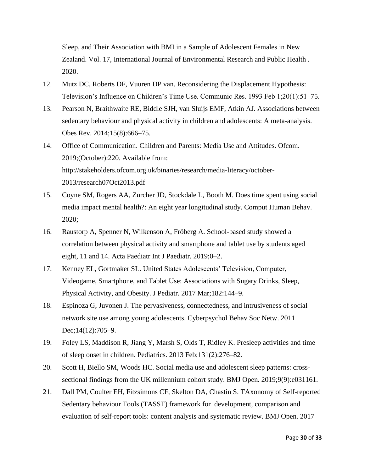Sleep, and Their Association with BMI in a Sample of Adolescent Females in New Zealand. Vol. 17, International Journal of Environmental Research and Public Health . 2020.

- 12. Mutz DC, Roberts DF, Vuuren DP van. Reconsidering the Displacement Hypothesis: Television's Influence on Children's Time Use. Communic Res. 1993 Feb 1;20(1):51–75.
- 13. Pearson N, Braithwaite RE, Biddle SJH, van Sluijs EMF, Atkin AJ. Associations between sedentary behaviour and physical activity in children and adolescents: A meta-analysis. Obes Rev. 2014;15(8):666–75.
- 14. Office of Communication. Children and Parents: Media Use and Attitudes. Ofcom. 2019;(October):220. Available from: http://stakeholders.ofcom.org.uk/binaries/research/media-literacy/october-2013/research07Oct2013.pdf
- 15. Coyne SM, Rogers AA, Zurcher JD, Stockdale L, Booth M. Does time spent using social media impact mental health?: An eight year longitudinal study. Comput Human Behav. 2020;
- 16. Raustorp A, Spenner N, Wilkenson A, Fröberg A. School-based study showed a correlation between physical activity and smartphone and tablet use by students aged eight, 11 and 14. Acta Paediatr Int J Paediatr. 2019;0–2.
- 17. Kenney EL, Gortmaker SL. United States Adolescents' Television, Computer, Videogame, Smartphone, and Tablet Use: Associations with Sugary Drinks, Sleep, Physical Activity, and Obesity. J Pediatr. 2017 Mar;182:144–9.
- 18. Espinoza G, Juvonen J. The pervasiveness, connectedness, and intrusiveness of social network site use among young adolescents. Cyberpsychol Behav Soc Netw. 2011 Dec;14(12):705–9.
- 19. Foley LS, Maddison R, Jiang Y, Marsh S, Olds T, Ridley K. Presleep activities and time of sleep onset in children. Pediatrics. 2013 Feb;131(2):276–82.
- 20. Scott H, Biello SM, Woods HC. Social media use and adolescent sleep patterns: crosssectional findings from the UK millennium cohort study. BMJ Open. 2019;9(9):e031161.
- 21. Dall PM, Coulter EH, Fitzsimons CF, Skelton DA, Chastin S. TAxonomy of Self-reported Sedentary behaviour Tools (TASST) framework for development, comparison and evaluation of self-report tools: content analysis and systematic review. BMJ Open. 2017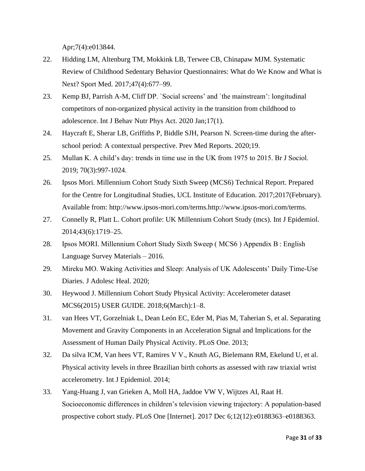Apr;7(4):e013844.

- 22. Hidding LM, Altenburg TM, Mokkink LB, Terwee CB, Chinapaw MJM. Systematic Review of Childhood Sedentary Behavior Questionnaires: What do We Know and What is Next? Sport Med. 2017;47(4):677–99.
- 23. Kemp BJ, Parrish A-M, Cliff DP. `Social screens' and `the mainstream': longitudinal competitors of non-organized physical activity in the transition from childhood to adolescence. Int J Behav Nutr Phys Act. 2020 Jan;17(1).
- 24. Haycraft E, Sherar LB, Griffiths P, Biddle SJH, Pearson N. Screen-time during the afterschool period: A contextual perspective. Prev Med Reports. 2020;19.
- 25. Mullan K. A child's day: trends in time use in the UK from 1975 to 2015. Br J Sociol. 2019; 70(3):997-1024.
- 26. Ipsos Mori. Millennium Cohort Study Sixth Sweep (MCS6) Technical Report. Prepared for the Centre for Longitudinal Studies, UCL Institute of Education. 2017;2017(February). Available from: http://www.ipsos-mori.com/terms.http://www.ipsos-mori.com/terms.
- 27. Connelly R, Platt L. Cohort profile: UK Millennium Cohort Study (mcs). Int J Epidemiol. 2014;43(6):1719–25.
- 28. Ipsos MORI. Millennium Cohort Study Sixth Sweep ( MCS6 ) Appendix B : English Language Survey Materials – 2016.
- 29. Mireku MO. Waking Activities and Sleep: Analysis of UK Adolescents' Daily Time-Use Diaries. J Adolesc Heal. 2020;
- 30. Heywood J. Millennium Cohort Study Physical Activity: Accelerometer dataset MCS6(2015) USER GUIDE. 2018;6(March):1–8.
- 31. van Hees VT, Gorzelniak L, Dean León EC, Eder M, Pias M, Taherian S, et al. Separating Movement and Gravity Components in an Acceleration Signal and Implications for the Assessment of Human Daily Physical Activity. PLoS One. 2013;
- 32. Da silva ICM, Van hees VT, Ramires V V., Knuth AG, Bielemann RM, Ekelund U, et al. Physical activity levels in three Brazilian birth cohorts as assessed with raw triaxial wrist accelerometry. Int J Epidemiol. 2014;
- 33. Yang-Huang J, van Grieken A, Moll HA, Jaddoe VW V, Wijtzes AI, Raat H. Socioeconomic differences in children's television viewing trajectory: A population-based prospective cohort study. PLoS One [Internet]. 2017 Dec 6;12(12):e0188363–e0188363.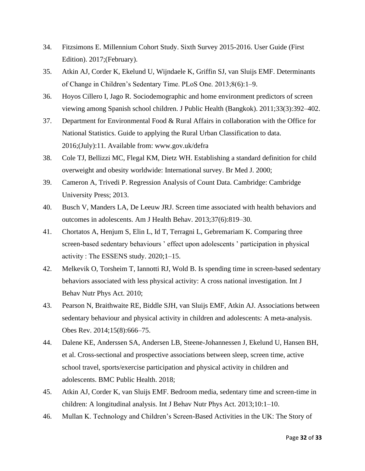- 34. Fitzsimons E. Millennium Cohort Study. Sixth Survey 2015-2016. User Guide (First Edition). 2017;(February).
- 35. Atkin AJ, Corder K, Ekelund U, Wijndaele K, Griffin SJ, van Sluijs EMF. Determinants of Change in Children's Sedentary Time. PLoS One. 2013;8(6):1–9.
- 36. Hoyos Cillero I, Jago R. Sociodemographic and home environment predictors of screen viewing among Spanish school children. J Public Health (Bangkok). 2011;33(3):392–402.
- 37. Department for Environmental Food & Rural Affairs in collaboration with the Office for National Statistics. Guide to applying the Rural Urban Classification to data. 2016;(July):11. Available from: www.gov.uk/defra
- 38. Cole TJ, Bellizzi MC, Flegal KM, Dietz WH. Establishing a standard definition for child overweight and obesity worldwide: International survey. Br Med J. 2000;
- 39. Cameron A, Trivedi P. Regression Analysis of Count Data. Cambridge: Cambridge University Press; 2013.
- 40. Busch V, Manders LA, De Leeuw JRJ. Screen time associated with health behaviors and outcomes in adolescents. Am J Health Behav. 2013;37(6):819–30.
- 41. Chortatos A, Henjum S, Elin L, Id T, Terragni L, Gebremariam K. Comparing three screen-based sedentary behaviours ' effect upon adolescents ' participation in physical activity : The ESSENS study. 2020;1–15.
- 42. Melkevik O, Torsheim T, Iannotti RJ, Wold B. Is spending time in screen-based sedentary behaviors associated with less physical activity: A cross national investigation. Int J Behav Nutr Phys Act. 2010;
- 43. Pearson N, Braithwaite RE, Biddle SJH, van Sluijs EMF, Atkin AJ. Associations between sedentary behaviour and physical activity in children and adolescents: A meta-analysis. Obes Rev. 2014;15(8):666–75.
- 44. Dalene KE, Anderssen SA, Andersen LB, Steene-Johannessen J, Ekelund U, Hansen BH, et al. Cross-sectional and prospective associations between sleep, screen time, active school travel, sports/exercise participation and physical activity in children and adolescents. BMC Public Health. 2018;
- 45. Atkin AJ, Corder K, van Sluijs EMF. Bedroom media, sedentary time and screen-time in children: A longitudinal analysis. Int J Behav Nutr Phys Act. 2013;10:1–10.
- 46. Mullan K. Technology and Children's Screen-Based Activities in the UK: The Story of